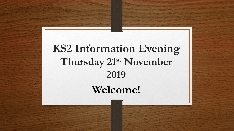# **KS2 Information Evening Thursday 21st November 2019 Welcome!**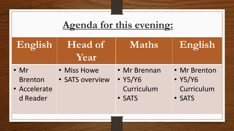## **Agenda for this evening:**

| English                                                    | <b>Head of</b><br>Year         | <b>Maths</b>                                    | English                                         |
|------------------------------------------------------------|--------------------------------|-------------------------------------------------|-------------------------------------------------|
| $\bullet$ Mr<br><b>Brenton</b><br>• Accelerate<br>d Reader | • Miss Howe<br>• SATS overview | • Mr Brennan<br>• Y5/Y6<br>Curriculum<br>• SATS | • Mr Brenton<br>• Y5/Y6<br>Curriculum<br>· SATS |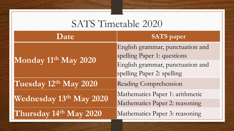## SATS Timetable 2020

| Date                    | <b>SATS</b> paper                |  |  |
|-------------------------|----------------------------------|--|--|
|                         | English grammar, punctuation and |  |  |
| Monday 11th May 2020    | spelling Paper 1: questions      |  |  |
|                         | English grammar, punctuation and |  |  |
|                         | spelling Paper 2: spelling       |  |  |
| Tuesday 12th May 2020   | Reading Comprehension            |  |  |
| Wednesday 13th May 2020 | Mathematics Paper 1: arithmetic  |  |  |
|                         | Mathematics Paper 2: reasoning   |  |  |
| Thursday 14th May 2020  | Mathematics Paper 3: reasoning   |  |  |
|                         |                                  |  |  |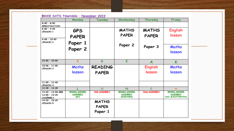|                                                         | Monday                                         | Tuesday                        | Wednesday                                           | Thursday                     | Friday                                               |
|---------------------------------------------------------|------------------------------------------------|--------------------------------|-----------------------------------------------------|------------------------------|------------------------------------------------------|
| $8:40 - 8:50$                                           |                                                |                                |                                                     |                              |                                                      |
| <b>REGISTRATION</b><br>$8:50 - 9:45$<br>LESSON 1        | GPS.<br><b>PAPER</b>                           |                                | <b>MATHS</b><br><b>PAPER</b>                        | <b>MATHS</b><br><b>PAPER</b> | English<br>lesson                                    |
| $9:45 - 10:40$<br>LESSON <sub>2</sub>                   | Paper 1                                        |                                | Paper 2                                             |                              |                                                      |
|                                                         | Paper 2                                        |                                |                                                     | Paper 3                      | Maths<br>lesson                                      |
| $10:40 - 10:55$                                         | B                                              | R.                             | E                                                   | A                            | ĸ                                                    |
| $10:55 - 11:50$<br>LESSON 3                             | Maths<br>lesson                                | <b>READING</b><br><b>PAPER</b> |                                                     | English<br>lesson            | Maths<br>lesson                                      |
| $11:50 - 12:45$<br>LESSON 4                             |                                                |                                |                                                     |                              |                                                      |
| $12:45 - 13:30$                                         |                                                | U                              | $\mathbf N$                                         | $\overline{c}$               | н                                                    |
| 13:30 - 13:55 REG<br>$13:55 - 14:20$<br><b>ASSEMBLY</b> | <b>WHOLE SCHOOL</b><br><b>ASSEMBLY</b><br>(RC) | <b>K52 ASSEMBLY</b>            | <b>WHOLE SCHOOL</b><br><b>ASSEMBLY</b><br>(RJ&HYMN) | <b>Class ASSEMBLY</b>        | WHOLE SCHOOL<br><b>ASSEMBLY</b><br>(AH/ GUEST)*MATHS |
| $14:20 - 15:20$<br>LESSON 5                             |                                                | <b>MATHS</b><br><b>PAPER</b>   |                                                     |                              |                                                      |
|                                                         |                                                | Paper 1                        |                                                     |                              |                                                      |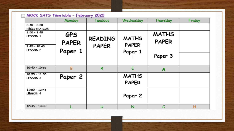#### MOCK SATS Timetable - February 2020

|                                                                    | Monday                         | Tuesday                        | Wednesday                               | Thursday                                | Friday |
|--------------------------------------------------------------------|--------------------------------|--------------------------------|-----------------------------------------|-----------------------------------------|--------|
| $8:40 - 8:50$<br><b>REGISTRATION</b>                               |                                |                                |                                         |                                         |        |
| $8:50 - 9:45$<br>LESSON 1<br>$9:45 - 10:40$<br>LESSON <sub>2</sub> | GPS<br><b>PAPER</b><br>Paper 1 | <b>READING</b><br><b>PAPER</b> | <b>MATHS</b><br><b>PAPER</b><br>Paper 1 | <b>MATHS</b><br><b>PAPER</b><br>Paper 3 |        |
| $10:40 - 10:55$                                                    | B                              | R                              | E                                       | A                                       |        |
| $10:55 - 11:50$<br>LESSON 3                                        | Paper 2                        |                                | <b>MATHS</b><br><b>PAPER</b>            |                                         |        |
| $11:50 - 12:45$<br>LESSON 4                                        |                                |                                | Paper 2                                 |                                         |        |
| $12:45 - 13:30$                                                    |                                | U                              | N                                       | $\mathcal{C}$                           | н      |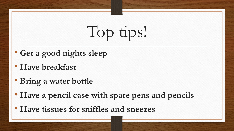# Top tips!

- **Get a good nights sleep**
- **Have breakfast**
- **Bring a water bottle**
- **Have a pencil case with spare pens and pencils**
- **Have tissues for sniffles and sneezes**